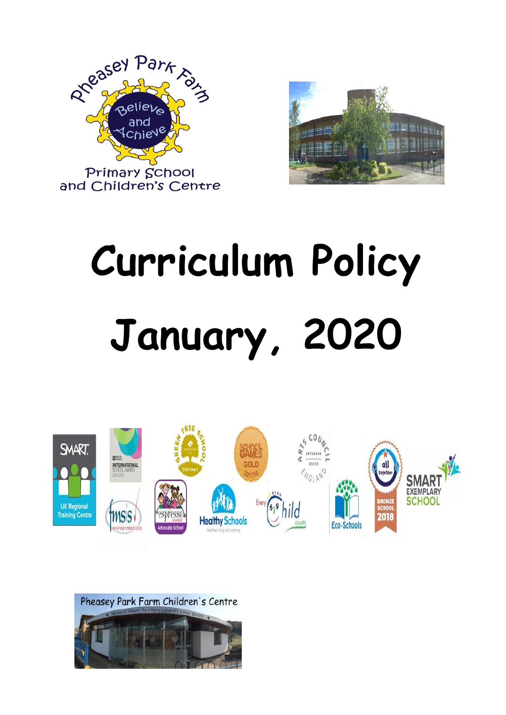



# **Curriculum Policy January, 2020**



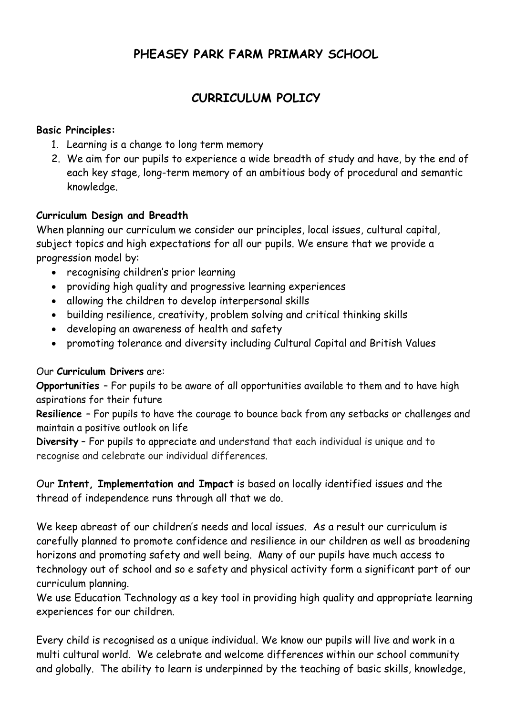# **PHEASEY PARK FARM PRIMARY SCHOOL**

# **CURRICULUM POLICY**

#### **Basic Principles:**

- 1. Learning is a change to long term memory
- 2. We aim for our pupils to experience a wide breadth of study and have, by the end of each key stage, long-term memory of an ambitious body of procedural and semantic knowledge.

## **Curriculum Design and Breadth**

When planning our curriculum we consider our principles, local issues, cultural capital, subject topics and high expectations for all our pupils. We ensure that we provide a progression model by:

- recognising children's prior learning
- providing high quality and progressive learning experiences
- allowing the children to develop interpersonal skills
- building resilience, creativity, problem solving and critical thinking skills
- developing an awareness of health and safety
- promoting tolerance and diversity including Cultural Capital and British Values

#### Our **Curriculum Drivers** are:

**Opportunities** – For pupils to be aware of all opportunities available to them and to have high aspirations for their future

**Resilience –** For pupils to have the courage to bounce back from any setbacks or challenges and maintain a positive outlook on life

**Diversity** – For pupils to appreciate and understand that each individual is unique and to recognise and celebrate our individual differences.

Our **Intent, Implementation and Impact** is based on locally identified issues and the thread of independence runs through all that we do.

We keep abreast of our children's needs and local issues. As a result our curriculum is carefully planned to promote confidence and resilience in our children as well as broadening horizons and promoting safety and well being. Many of our pupils have much access to technology out of school and so e safety and physical activity form a significant part of our curriculum planning.

We use Education Technology as a key tool in providing high quality and appropriate learning experiences for our children.

Every child is recognised as a unique individual. We know our pupils will live and work in a multi cultural world. We celebrate and welcome differences within our school community and globally. The ability to learn is underpinned by the teaching of basic skills, knowledge,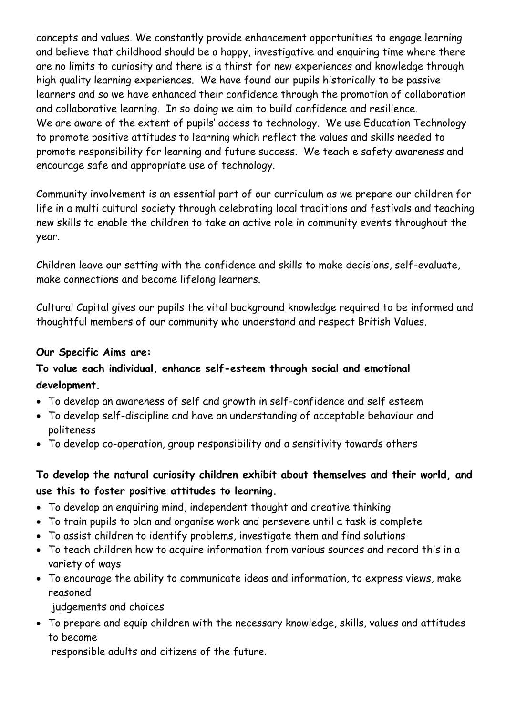concepts and values. We constantly provide enhancement opportunities to engage learning and believe that childhood should be a happy, investigative and enquiring time where there are no limits to curiosity and there is a thirst for new experiences and knowledge through high quality learning experiences. We have found our pupils historically to be passive learners and so we have enhanced their confidence through the promotion of collaboration and collaborative learning. In so doing we aim to build confidence and resilience. We are aware of the extent of pupils' access to technology. We use Education Technology to promote positive attitudes to learning which reflect the values and skills needed to promote responsibility for learning and future success. We teach e safety awareness and encourage safe and appropriate use of technology.

Community involvement is an essential part of our curriculum as we prepare our children for life in a multi cultural society through celebrating local traditions and festivals and teaching new skills to enable the children to take an active role in community events throughout the year.

Children leave our setting with the confidence and skills to make decisions, self-evaluate, make connections and become lifelong learners.

Cultural Capital gives our pupils the vital background knowledge required to be informed and thoughtful members of our community who understand and respect British Values.

#### **Our Specific Aims are:**

# **To value each individual, enhance self-esteem through social and emotional development.**

- To develop an awareness of self and growth in self-confidence and self esteem
- To develop self-discipline and have an understanding of acceptable behaviour and politeness
- To develop co-operation, group responsibility and a sensitivity towards others

# **To develop the natural curiosity children exhibit about themselves and their world, and use this to foster positive attitudes to learning.**

- To develop an enquiring mind, independent thought and creative thinking
- To train pupils to plan and organise work and persevere until a task is complete
- To assist children to identify problems, investigate them and find solutions
- To teach children how to acquire information from various sources and record this in a variety of ways
- To encourage the ability to communicate ideas and information, to express views, make reasoned

judgements and choices

 To prepare and equip children with the necessary knowledge, skills, values and attitudes to become

responsible adults and citizens of the future.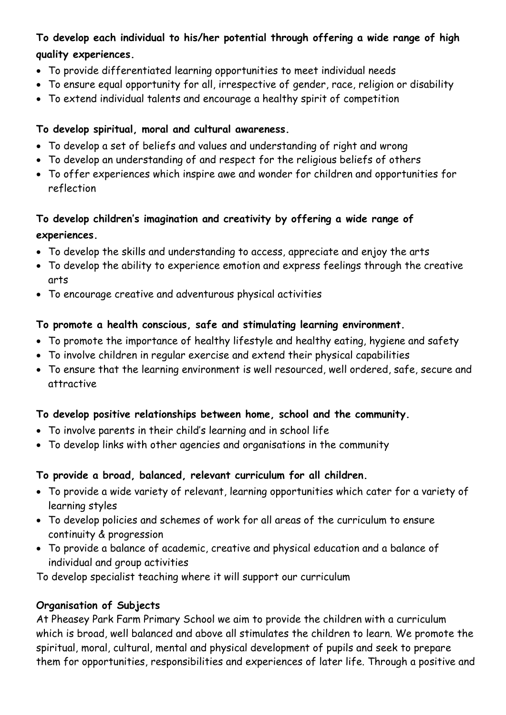# **To develop each individual to his/her potential through offering a wide range of high quality experiences.**

- To provide differentiated learning opportunities to meet individual needs
- To ensure equal opportunity for all, irrespective of gender, race, religion or disability
- To extend individual talents and encourage a healthy spirit of competition

# **To develop spiritual, moral and cultural awareness.**

- To develop a set of beliefs and values and understanding of right and wrong
- To develop an understanding of and respect for the religious beliefs of others
- To offer experiences which inspire awe and wonder for children and opportunities for reflection

# **To develop children's imagination and creativity by offering a wide range of experiences.**

- To develop the skills and understanding to access, appreciate and enjoy the arts
- To develop the ability to experience emotion and express feelings through the creative arts
- To encourage creative and adventurous physical activities

# **To promote a health conscious, safe and stimulating learning environment.**

- To promote the importance of healthy lifestyle and healthy eating, hygiene and safety
- To involve children in regular exercise and extend their physical capabilities
- To ensure that the learning environment is well resourced, well ordered, safe, secure and attractive

# **To develop positive relationships between home, school and the community.**

- To involve parents in their child's learning and in school life
- To develop links with other agencies and organisations in the community

# **To provide a broad, balanced, relevant curriculum for all children.**

- To provide a wide variety of relevant, learning opportunities which cater for a variety of learning styles
- To develop policies and schemes of work for all areas of the curriculum to ensure continuity & progression
- To provide a balance of academic, creative and physical education and a balance of individual and group activities

To develop specialist teaching where it will support our curriculum

#### **Organisation of Subjects**

At Pheasey Park Farm Primary School we aim to provide the children with a curriculum which is broad, well balanced and above all stimulates the children to learn. We promote the spiritual, moral, cultural, mental and physical development of pupils and seek to prepare them for opportunities, responsibilities and experiences of later life. Through a positive and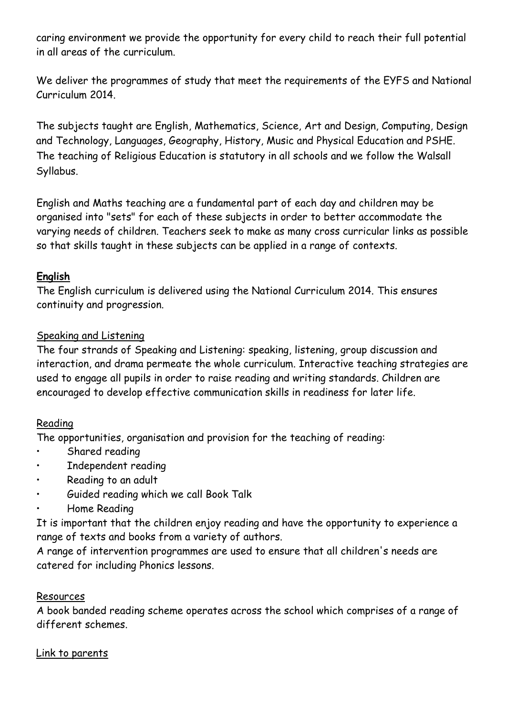caring environment we provide the opportunity for every child to reach their full potential in all areas of the curriculum.

We deliver the programmes of study that meet the requirements of the EYFS and National Curriculum 2014.

The subjects taught are English, Mathematics, Science, Art and Design, Computing, Design and Technology, Languages, Geography, History, Music and Physical Education and PSHE. The teaching of Religious Education is statutory in all schools and we follow the Walsall Syllabus.

English and Maths teaching are a fundamental part of each day and children may be organised into "sets" for each of these subjects in order to better accommodate the varying needs of children. Teachers seek to make as many cross curricular links as possible so that skills taught in these subjects can be applied in a range of contexts.

## **English**

The English curriculum is delivered using the National Curriculum 2014. This ensures continuity and progression.

#### Speaking and Listening

The four strands of Speaking and Listening: speaking, listening, group discussion and interaction, and drama permeate the whole curriculum. Interactive teaching strategies are used to engage all pupils in order to raise reading and writing standards. Children are encouraged to develop effective communication skills in readiness for later life.

#### Reading

The opportunities, organisation and provision for the teaching of reading:

- Shared reading
- Independent reading
- Reading to an adult
- Guided reading which we call Book Talk
- Home Reading

It is important that the children enjoy reading and have the opportunity to experience a range of texts and books from a variety of authors.

A range of intervention programmes are used to ensure that all children's needs are catered for including Phonics lessons.

#### Resources

A book banded reading scheme operates across the school which comprises of a range of different schemes.

#### Link to parents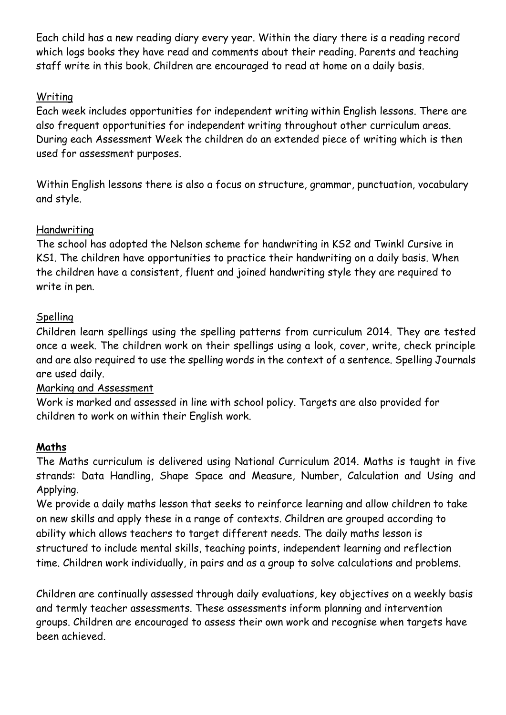Each child has a new reading diary every year. Within the diary there is a reading record which logs books they have read and comments about their reading. Parents and teaching staff write in this book. Children are encouraged to read at home on a daily basis.

# Writing

Each week includes opportunities for independent writing within English lessons. There are also frequent opportunities for independent writing throughout other curriculum areas. During each Assessment Week the children do an extended piece of writing which is then used for assessment purposes.

Within English lessons there is also a focus on structure, grammar, punctuation, vocabulary and style.

## Handwriting

The school has adopted the Nelson scheme for handwriting in KS2 and Twinkl Cursive in KS1. The children have opportunities to practice their handwriting on a daily basis. When the children have a consistent, fluent and joined handwriting style they are required to write in pen.

# Spelling

Children learn spellings using the spelling patterns from curriculum 2014. They are tested once a week. The children work on their spellings using a look, cover, write, check principle and are also required to use the spelling words in the context of a sentence. Spelling Journals are used daily.

# Marking and Assessment

Work is marked and assessed in line with school policy. Targets are also provided for children to work on within their English work.

# **Maths**

The Maths curriculum is delivered using National Curriculum 2014. Maths is taught in five strands: Data Handling, Shape Space and Measure, Number, Calculation and Using and Applying.

We provide a daily maths lesson that seeks to reinforce learning and allow children to take on new skills and apply these in a range of contexts. Children are grouped according to ability which allows teachers to target different needs. The daily maths lesson is structured to include mental skills, teaching points, independent learning and reflection time. Children work individually, in pairs and as a group to solve calculations and problems.

Children are continually assessed through daily evaluations, key objectives on a weekly basis and termly teacher assessments. These assessments inform planning and intervention groups. Children are encouraged to assess their own work and recognise when targets have been achieved.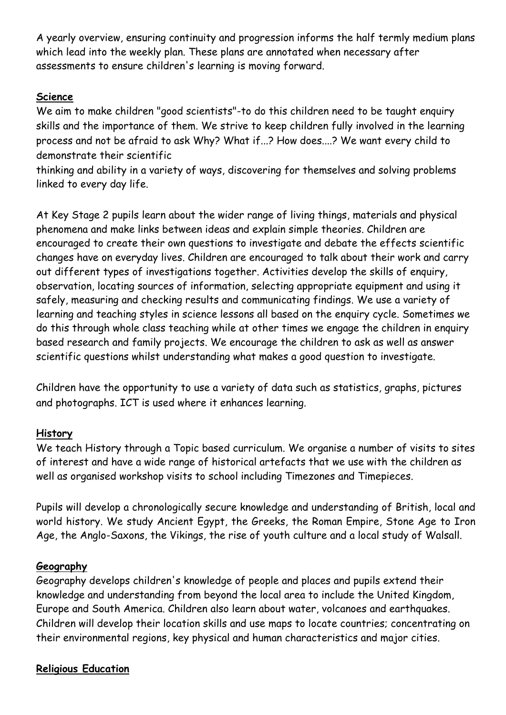A yearly overview, ensuring continuity and progression informs the half termly medium plans which lead into the weekly plan. These plans are annotated when necessary after assessments to ensure children's learning is moving forward.

## **Science**

We aim to make children "good scientists"-to do this children need to be taught enquiry skills and the importance of them. We strive to keep children fully involved in the learning process and not be afraid to ask Why? What if...? How does....? We want every child to demonstrate their scientific

thinking and ability in a variety of ways, discovering for themselves and solving problems linked to every day life.

At Key Stage 2 pupils learn about the wider range of living things, materials and physical phenomena and make links between ideas and explain simple theories. Children are encouraged to create their own questions to investigate and debate the effects scientific changes have on everyday lives. Children are encouraged to talk about their work and carry out different types of investigations together. Activities develop the skills of enquiry, observation, locating sources of information, selecting appropriate equipment and using it safely, measuring and checking results and communicating findings. We use a variety of learning and teaching styles in science lessons all based on the enquiry cycle. Sometimes we do this through whole class teaching while at other times we engage the children in enquiry based research and family projects. We encourage the children to ask as well as answer scientific questions whilst understanding what makes a good question to investigate.

Children have the opportunity to use a variety of data such as statistics, graphs, pictures and photographs. ICT is used where it enhances learning.

#### **History**

We teach History through a Topic based curriculum. We organise a number of visits to sites of interest and have a wide range of historical artefacts that we use with the children as well as organised workshop visits to school including Timezones and Timepieces.

Pupils will develop a chronologically secure knowledge and understanding of British, local and world history. We study Ancient Egypt, the Greeks, the Roman Empire, Stone Age to Iron Age, the Anglo-Saxons, the Vikings, the rise of youth culture and a local study of Walsall.

#### **Geography**

Geography develops children's knowledge of people and places and pupils extend their knowledge and understanding from beyond the local area to include the United Kingdom, Europe and South America. Children also learn about water, volcanoes and earthquakes. Children will develop their location skills and use maps to locate countries; concentrating on their environmental regions, key physical and human characteristics and major cities.

#### **Religious Education**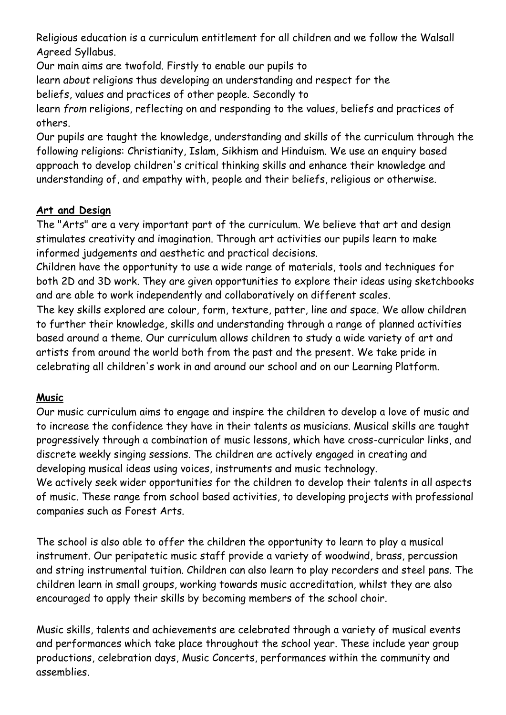Religious education is a curriculum entitlement for all children and we follow the Walsall Agreed Syllabus.

Our main aims are twofold. Firstly to enable our pupils to

learn *about* religions thus developing an understanding and respect for the

beliefs, values and practices of other people. Secondly to

learn *from* religions, reflecting on and responding to the values, beliefs and practices of others.

Our pupils are taught the knowledge, understanding and skills of the curriculum through the following religions: Christianity, Islam, Sikhism and Hinduism. We use an enquiry based approach to develop children's critical thinking skills and enhance their knowledge and understanding of, and empathy with, people and their beliefs, religious or otherwise.

# **Art and Design**

The "Arts" are a very important part of the curriculum. We believe that art and design stimulates creativity and imagination. Through art activities our pupils learn to make informed judgements and aesthetic and practical decisions.

Children have the opportunity to use a wide range of materials, tools and techniques for both 2D and 3D work. They are given opportunities to explore their ideas using sketchbooks and are able to work independently and collaboratively on different scales.

The key skills explored are colour, form, texture, patter, line and space. We allow children to further their knowledge, skills and understanding through a range of planned activities based around a theme. Our curriculum allows children to study a wide variety of art and artists from around the world both from the past and the present. We take pride in celebrating all children's work in and around our school and on our Learning Platform.

# **Music**

Our music curriculum aims to engage and inspire the children to develop a love of music and to increase the confidence they have in their talents as musicians. Musical skills are taught progressively through a combination of music lessons, which have cross-curricular links, and discrete weekly singing sessions. The children are actively engaged in creating and developing musical ideas using voices, instruments and music technology.

We actively seek wider opportunities for the children to develop their talents in all aspects of music. These range from school based activities, to developing projects with professional companies such as Forest Arts.

The school is also able to offer the children the opportunity to learn to play a musical instrument. Our peripatetic music staff provide a variety of woodwind, brass, percussion and string instrumental tuition. Children can also learn to play recorders and steel pans. The children learn in small groups, working towards music accreditation, whilst they are also encouraged to apply their skills by becoming members of the school choir.

Music skills, talents and achievements are celebrated through a variety of musical events and performances which take place throughout the school year. These include year group productions, celebration days, Music Concerts, performances within the community and assemblies.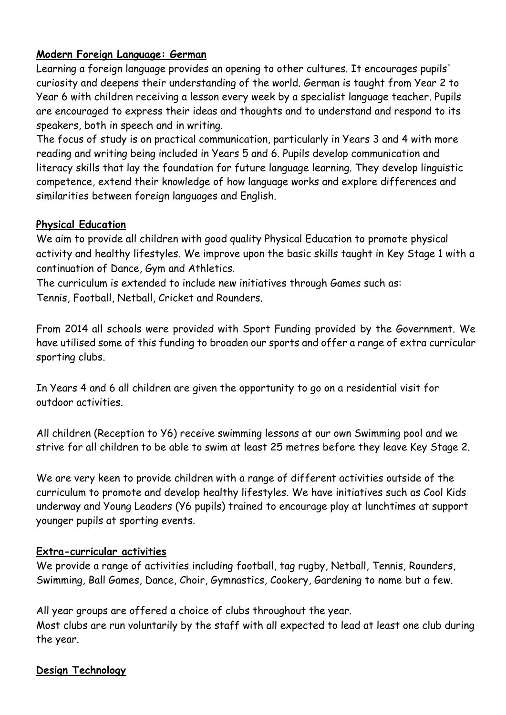# **Modern Foreign Language: German**

Learning a foreign language provides an opening to other cultures. It encourages pupils' curiosity and deepens their understanding of the world. German is taught from Year 2 to Year 6 with children receiving a lesson every week by a specialist language teacher. Pupils are encouraged to express their ideas and thoughts and to understand and respond to its speakers, both in speech and in writing.

The focus of study is on practical communication, particularly in Years 3 and 4 with more reading and writing being included in Years 5 and 6. Pupils develop communication and literacy skills that lay the foundation for future language learning. They develop linguistic competence, extend their knowledge of how language works and explore differences and similarities between foreign languages and English.

#### **Physical Education**

We aim to provide all children with good quality Physical Education to promote physical activity and healthy lifestyles. We improve upon the basic skills taught in Key Stage 1 with a continuation of Dance, Gym and Athletics.

The curriculum is extended to include new initiatives through Games such as: Tennis, Football, Netball, Cricket and Rounders.

From 2014 all schools were provided with Sport Funding provided by the Government. We have utilised some of this funding to broaden our sports and offer a range of extra curricular sporting clubs.

In Years 4 and 6 all children are given the opportunity to go on a residential visit for outdoor activities.

All children (Reception to Y6) receive swimming lessons at our own Swimming pool and we strive for all children to be able to swim at least 25 metres before they leave Key Stage 2.

We are very keen to provide children with a range of different activities outside of the curriculum to promote and develop healthy lifestyles. We have initiatives such as Cool Kids underway and Young Leaders (Y6 pupils) trained to encourage play at lunchtimes at support younger pupils at sporting events.

#### **Extra-curricular activities**

We provide a range of activities including football, tag rugby, Netball, Tennis, Rounders, Swimming, Ball Games, Dance, Choir, Gymnastics, Cookery, Gardening to name but a few.

All year groups are offered a choice of clubs throughout the year. Most clubs are run voluntarily by the staff with all expected to lead at least one club during the year.

#### **Design Technology**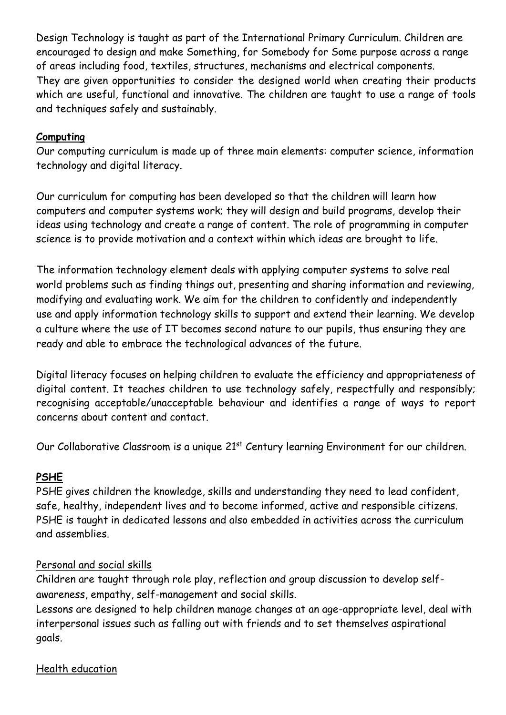Design Technology is taught as part of the International Primary Curriculum. Children are encouraged to design and make Something, for Somebody for Some purpose across a range of areas including food, textiles, structures, mechanisms and electrical components. They are given opportunities to consider the designed world when creating their products which are useful, functional and innovative. The children are taught to use a range of tools and techniques safely and sustainably.

## **Computing**

Our computing curriculum is made up of three main elements: computer science, information technology and digital literacy.

Our curriculum for computing has been developed so that the children will learn how computers and computer systems work; they will design and build programs, develop their ideas using technology and create a range of content. The role of programming in computer science is to provide motivation and a context within which ideas are brought to life.

The information technology element deals with applying computer systems to solve real world problems such as finding things out, presenting and sharing information and reviewing, modifying and evaluating work. We aim for the children to confidently and independently use and apply information technology skills to support and extend their learning. We develop a culture where the use of IT becomes second nature to our pupils, thus ensuring they are ready and able to embrace the technological advances of the future.

Digital literacy focuses on helping children to evaluate the efficiency and appropriateness of digital content. It teaches children to use technology safely, respectfully and responsibly; recognising acceptable/unacceptable behaviour and identifies a range of ways to report concerns about content and contact.

Our Collaborative Classroom is a unique 21<sup>st</sup> Century learning Environment for our children.

# **PSHE**

PSHE gives children the knowledge, skills and understanding they need to lead confident, safe, healthy, independent lives and to become informed, active and responsible citizens. PSHE is taught in dedicated lessons and also embedded in activities across the curriculum and assemblies.

# Personal and social skills

Children are taught through role play, reflection and group discussion to develop selfawareness, empathy, self-management and social skills.

Lessons are designed to help children manage changes at an age-appropriate level, deal with interpersonal issues such as falling out with friends and to set themselves aspirational goals.

Health education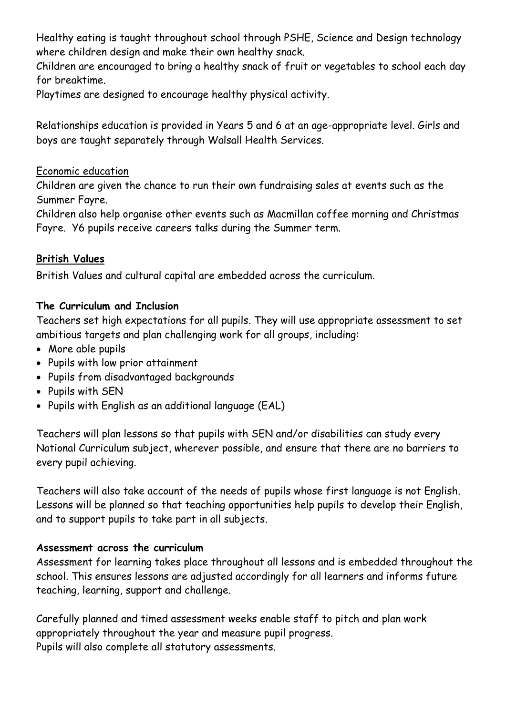Healthy eating is taught throughout school through PSHE, Science and Design technology where children design and make their own healthy snack.

Children are encouraged to bring a healthy snack of fruit or vegetables to school each day for breaktime.

Playtimes are designed to encourage healthy physical activity.

Relationships education is provided in Years 5 and 6 at an age-appropriate level. Girls and boys are taught separately through Walsall Health Services.

#### Economic education

Children are given the chance to run their own fundraising sales at events such as the Summer Fayre.

Children also help organise other events such as Macmillan coffee morning and Christmas Fayre. Y6 pupils receive careers talks during the Summer term.

#### **British Values**

British Values and cultural capital are embedded across the curriculum.

#### **The Curriculum and Inclusion**

Teachers set high expectations for all pupils. They will use appropriate assessment to set ambitious targets and plan challenging work for all groups, including:

- More able pupils
- Pupils with low prior attainment
- Pupils from disadvantaged backgrounds
- Pupils with SEN
- Pupils with English as an additional language (EAL)

Teachers will plan lessons so that pupils with SEN and/or disabilities can study every National Curriculum subject, wherever possible, and ensure that there are no barriers to every pupil achieving.

Teachers will also take account of the needs of pupils whose first language is not English. Lessons will be planned so that teaching opportunities help pupils to develop their English, and to support pupils to take part in all subjects.

#### **Assessment across the curriculum**

Assessment for learning takes place throughout all lessons and is embedded throughout the school. This ensures lessons are adjusted accordingly for all learners and informs future teaching, learning, support and challenge.

Carefully planned and timed assessment weeks enable staff to pitch and plan work appropriately throughout the year and measure pupil progress. Pupils will also complete all statutory assessments.